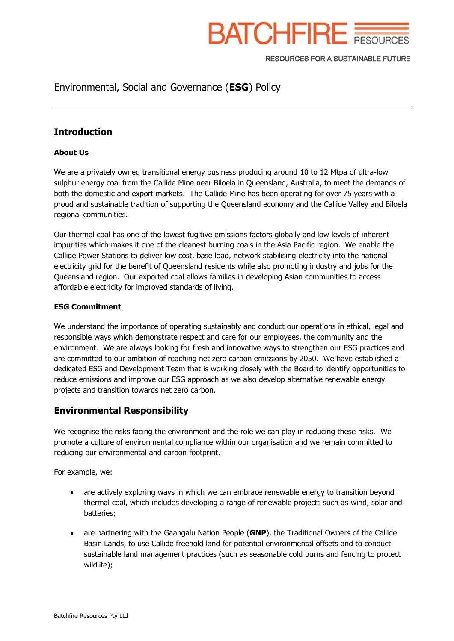

RESOURCES FOR A SUSTAINABLE FUTURE

# Environmental, Social and Governance (**ESG**) Policy

### **Introduction**

#### **About Us**

We are a privately owned transitional energy business producing around 10 to 12 Mtpa of ultra-low sulphur energy coal from the Callide Mine near Biloela in Queensland, Australia, to meet the demands of both the domestic and export markets. The Callide Mine has been operating for over 75 years with a proud and sustainable tradition of supporting the Queensland economy and the Callide Valley and Biloela regional communities.

Our thermal coal has one of the lowest fugitive emissions factors globally and low levels of inherent impurities which makes it one of the cleanest burning coals in the Asia Pacific region. We enable the Callide Power Stations to deliver low cost, base load, network stabilising electricity into the national electricity grid for the benefit of Queensland residents while also promoting industry and jobs for the Queensland region. Our exported coal allows families in developing Asian communities to access affordable electricity for improved standards of living.

#### **ESG Commitment**

We understand the importance of operating sustainably and conduct our operations in ethical, legal and responsible ways which demonstrate respect and care for our employees, the community and the environment. We are always looking for fresh and innovative ways to strengthen our ESG practices and are committed to our ambition of reaching net zero carbon emissions by 2050. We have established a dedicated ESG and Development Team that is working closely with the Board to identify opportunities to reduce emissions and improve our ESG approach as we also develop alternative renewable energy projects and transition towards net zero carbon.

### **Environmental Responsibility**

We recognise the risks facing the environment and the role we can play in reducing these risks. We promote a culture of environmental compliance within our organisation and we remain committed to reducing our environmental and carbon footprint.

For example, we:

- are actively exploring ways in which we can embrace renewable energy to transition beyond thermal coal, which includes developing a range of renewable projects such as wind, solar and batteries;
- are partnering with the Gaangalu Nation People (**GNP**), the Traditional Owners of the Callide Basin Lands, to use Callide freehold land for potential environmental offsets and to conduct sustainable land management practices (such as seasonable cold burns and fencing to protect wildlife);